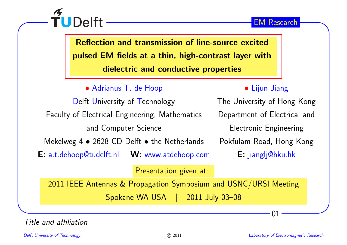

Reflection and transmission of line-source excitedpulsed EM fields at <sup>a</sup> thin, high-contrast layer withdielectric and conductive properties

• Adrianus T. de Hoop

TUDelft

Delft University of Technology Faculty of Electrical Engineering, Mathematics and Computer Science

Mekelweg 4  $\bullet$  2628 CD Delft  $\bullet$  the Netherlands

 $\mathsf{E}\colon$  a.t.dehoop@tudelft.nl  $\;\;\;\mathsf{W}\colon$  www.atdehoop.com

## • Lijun Jiang

The University of Hong Kong Department of Electrical and Electronic Engineering Pokfulam Road, Hong Kong E: jianglj@hku.hk

Presentation <sup>g</sup>iven at:

<sup>2011</sup> IEEE Antennas & Propagation Symposium and USNC/URSI Meeting Spokane WA USA | <sup>2011</sup> July 03–08

Title and affiliation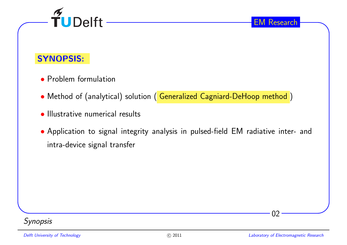

### SYNOPSIS:

- Problem formulation
- Method of (analytical) solution ( Generalized Cagniard-DeHoop method )
- Illustrative numerical results
- Application to signal integrity analysis in pulsed-field EM radiative inter- and intra-device signal transfer



02

EM Research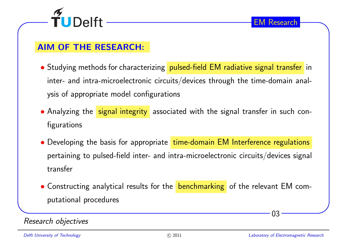

#### AIM OF THE RESEARCH:

- $\bullet$  Studying methods for characterizing  $\overline{\phantom{a} }$  pulsed-field EM radiative signal transfer <code>in</code> inter- and intra-microelectronic circuits/devices through the time-domain analysis of appropriate model configurations
- $\bullet$  Analyzing the <mark>signal integrity</mark> associated with the signal transfer in such configurations
- $\bullet$  Developing the basis for appropriate  $\left\lfloor\frac{\text{time-domain EM Interference regulations}}{\text{time-domain EM}}\right\rfloor$ pertaining to pulsed-field inter- and intra-microelectronic circuits/devices signal transfer
- $\bullet$  Constructing analytical results for the  $\frac{}{}$  benchmarking  $\,$  of the relevant EM computational procedures

#### Research objectives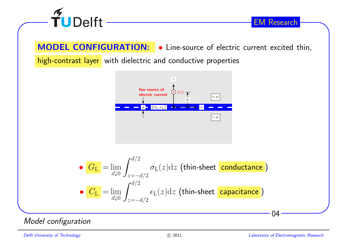

MODEL CONFIGURATION: • Line-source of electric current excited thin, high-contrast layer with dielectric and conductive properties



\n- \n
$$
\frac{G_{\rm L}}{G_{\rm L}} = \lim_{d \downarrow 0} \int_{z = -d/2}^{d/2} \sigma_{\rm L}(z) \, dz
$$
\n(thin-sheet conductance)

\n
\n- \n
$$
\frac{G_{\rm L}}{G_{\rm L}} = \lim_{d \downarrow 0} \int_{z = -d/2}^{d/2} \epsilon_{\rm L}(z) \, dz
$$
\n(thin-sheet capacitance)

\n
\n

Model configuration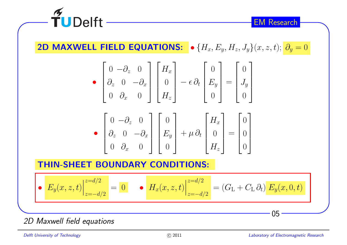

2D MAXWELL FIELD EQUATIONS:  $\bullet$   $\{H_x, E_y, H_z, J_y\}(x, z, t); \frac{\partial_y}{\partial y} = 0$ 

$$
\bullet \begin{bmatrix} 0 & -\partial_z & 0 \\ \partial_z & 0 & -\partial_x \\ 0 & \partial_x & 0 \end{bmatrix} \begin{bmatrix} H_x \\ 0 \\ H_z \end{bmatrix} - \epsilon \partial_t \begin{bmatrix} 0 \\ E_y \\ 0 \end{bmatrix} = \begin{bmatrix} 0 \\ J_y \\ 0 \end{bmatrix}
$$

$$
\bullet \begin{bmatrix} 0 & -\partial_z & 0 \\ \partial_z & 0 & -\partial_x \\ 0 & \partial_x & 0 \end{bmatrix} \begin{bmatrix} 0 \\ E_y \\ 0 \end{bmatrix} + \mu \partial_t \begin{bmatrix} H_x \\ 0 \\ H_z \end{bmatrix} = \begin{bmatrix} 0 \\ 0 \\ 0 \end{bmatrix}
$$

#### THIN-SHEET BOUNDARY CONDITIONS:

• 
$$
E_y(x, z, t) \Big|_{z=-d/2}^{z=d/2} = 0
$$
 •  $H_x(x, z, t) \Big|_{z=-d/2}^{z=d/2} = (G_L + C_L \partial_t) E_y(x, 0, t)$ 

2D Maxwell field equations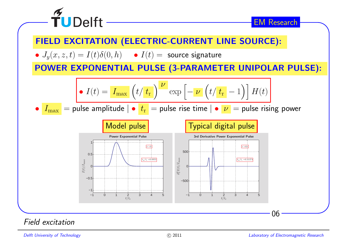

Field excitation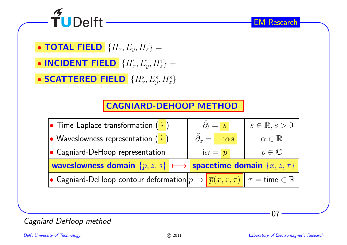

 $\bullet$  TOTAL FIELD  $\{H_x, E_y, H_z\} =$ 

• INCIDENT FIELD  $\{H_x^\textrm{i}, E_y^\textrm{i}, H_z^\textrm{i}\}$  +

• SCATTERED FIELD  $\{H_x^{\mathrm{s}},E_y^{\mathrm{s}},H_z^{\mathrm{s}}\}$ 

## CAGNIARD-DEHOOP METHOD



07

EM Research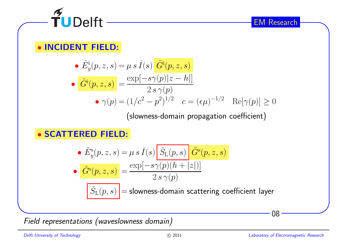

# • INCIDENT FIELD:

• 
$$
\tilde{E}_y^i(p, z, s) = \mu s \hat{I}(s) \frac{\tilde{G}^i(p, z, s)}{\tilde{G}^i(p, z, s)}
$$
  
\n•  $\tilde{G}^i(p, z, s) = \frac{\exp[-s\gamma(p)|z - h]}{2s\gamma(p)}$   
\n•  $\gamma(p) = (1/c^2 - p^2)^{1/2}$   $c = (\epsilon \mu)^{-1/2}$   $\text{Re}[\gamma(p)] \ge 0$ 

(slowness-domain propagation coefficient)

# • SCATTERED FIELD:

• 
$$
\tilde{E}_y^s(p, z, s) = \mu s \hat{I}(s) \frac{\tilde{S}_L(p, s)}{\tilde{G}^s(p, z, s)}
$$
  
\n•  $\frac{\tilde{G}^s(p, z, s)}{\tilde{S}_L(p, s)} = \frac{\exp[-s\gamma(p)(h + |z|)]}{2 s \gamma(p)}$   
\n $\frac{\tilde{S}_L(p, s)}{\tilde{S}_L(p, s)} =$ slowness-domain scattering coefficient layer

Field representations (waveslowness domain)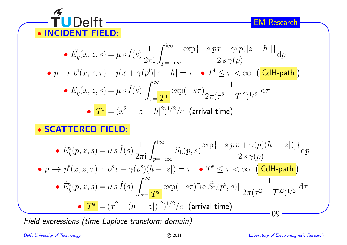

• 
$$
\hat{E}_y^{\text{i}}(x, z, s) = \mu s \hat{I}(s) \frac{1}{2\pi \text{i}} \int_{p=-\text{i}\infty}^{\text{i}\infty} \frac{\exp\{-s[px + \gamma(p)|z - h] \}}{2s \gamma(p)} \text{d}p
$$
  
\n•  $p \to p^{\text{i}}(x, z, \tau) : p^{\text{i}}x + \gamma(p^{\text{i}})|z - h| = \tau | \bullet T^{\text{i}} \leq \tau < \infty$  (**CdH-path**)  
\n•  $\hat{E}_y^{\text{i}}(x, z, s) = \mu s \hat{I}(s) \int_{\tau =}^{\infty} \frac{1}{T^{\text{i}}} \exp(-s\tau) \frac{1}{2\pi(\tau^2 - T^{\text{i}2})^{1/2}} \text{d}\tau$   
\n•  $\overline{T}^{\text{i}} = (x^2 + |z - h|^2)^{1/2} / c$  (arrival time)

• SCATTERED FIELD:

• 
$$
\hat{E}_y^{\rm s}(p, z, s) = \mu s \hat{I}(s) \frac{1}{2\pi i} \int_{p=-i\infty}^{i\infty} S_{\rm L}(p, s) \frac{\exp\{-s[px + \gamma(p)(h + |z|)]\}}{2 s \gamma(p)} dp
$$
  
\n•  $p \to p^{\rm s}(x, z, \tau) : p^{\rm s}x + \gamma(p^{\rm s})(h + |z|) = \tau | \bullet T^{\rm s} \le \tau < \infty$  (**CdH-path**)  
\n•  $\hat{E}_y^{\rm s}(p, z, s) = \mu s \hat{I}(s) \int_{\tau=\tau}^{\infty} \exp(-s\tau) \text{Re}[\tilde{S}_{\rm L}(p^{\rm s}, s)] \frac{1}{2\pi(\tau^2 - T^{\rm s2})^{1/2}} d\tau$   
\n•  $\underline{T^{\rm s}} = (x^2 + (h + |z|)|^2)^{1/2} / c$  (arrival time)  
\n09

Field expressions (time Laplace-transform domain)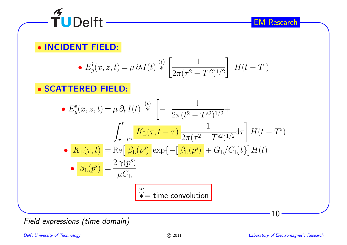

# • INCIDENT FIELD:

• 
$$
E_y^{\mathbf{i}}(x, z, t) = \mu \partial_t I(t) \stackrel{(t)}{*} \left[ \frac{1}{2\pi (\tau^2 - T^{\mathbf{i}2})^{1/2}} \right] H(t - T^{\mathbf{i}})
$$

• SCATTERED FIELD:

• 
$$
E_y^s(x, z, t) = \mu \partial_t I(t) \stackrel{(t)}{\ast} \left[ -\frac{1}{2\pi (t^2 - T^{s2})^{1/2}} + \int_{\tau = T^s}^t \frac{K_L(\tau, t - \tau)}{2\pi (\tau^2 - T^{s2})^{1/2}} d\tau \right] H(t - T^s)
$$
  
\n•  $K_L(\tau, t) = \text{Re} \left[ \frac{\beta_L(p^s)}{\beta_L(p^s)} \exp\left\{-\left[ \frac{\beta_L(p^s)}{\beta_L(p^s)} + G_L/C_L \right]t \right\} \right] H(t)$   
\n•  $\frac{\beta_L(p^s)}{\beta_L(p^s)} = \frac{2 \gamma(p^s)}{\mu C_L}$   
\n  
\n $\frac{(t)}{\tau}$   
\n  
\n $\frac{(t)}{\tau}$   
\n  
\n $\frac{(t)}{\tau}$   
\n  
\n $\frac{(t)}{\tau}$ 

Field expressions (time domain)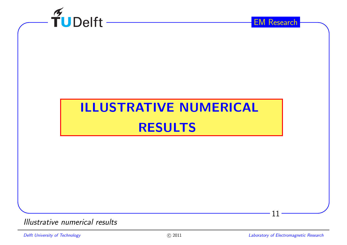

# ILLUSTRATIVE NUMERICALRESULTS

Illustrative numerical results